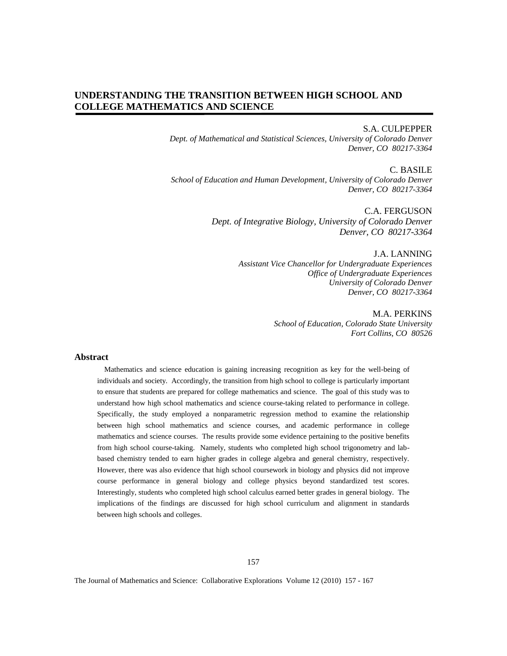# **UNDERSTANDING THE TRANSITION BETWEEN HIGH SCHOOL AND COLLEGE MATHEMATICS AND SCIENCE**

#### S.A. CULPEPPER

*Dept. of Mathematical and Statistical Sciences, University of Colorado Denver Denver, CO 80217-3364* 

C. BASILE *School of Education and Human Development, University of Colorado Denver Denver, CO 80217-3364* 

> C.A. FERGUSON *Dept. of Integrative Biology, University of Colorado Denver Denver, CO 80217-3364*

> > J.A. LANNING *Assistant Vice Chancellor for Undergraduate Experiences Office of Undergraduate Experiences University of Colorado Denver Denver, CO 80217-3364*

> > > M.A. PERKINS *School of Education, Colorado State University Fort Collins, CO 80526*

#### **Abstract**

 Mathematics and science education is gaining increasing recognition as key for the well-being of individuals and society. Accordingly, the transition from high school to college is particularly important to ensure that students are prepared for college mathematics and science. The goal of this study was to understand how high school mathematics and science course-taking related to performance in college. Specifically, the study employed a nonparametric regression method to examine the relationship between high school mathematics and science courses, and academic performance in college mathematics and science courses. The results provide some evidence pertaining to the positive benefits from high school course-taking. Namely, students who completed high school trigonometry and labbased chemistry tended to earn higher grades in college algebra and general chemistry, respectively. However, there was also evidence that high school coursework in biology and physics did not improve course performance in general biology and college physics beyond standardized test scores. Interestingly, students who completed high school calculus earned better grades in general biology. The implications of the findings are discussed for high school curriculum and alignment in standards between high schools and colleges.

157

The Journal of Mathematics and Science: Collaborative Explorations Volume 12 (2010) 157 - 167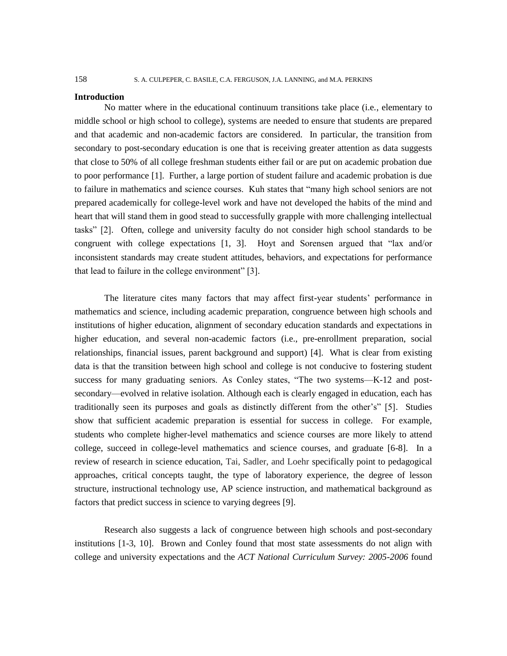#### **Introduction**

No matter where in the educational continuum transitions take place (i.e., elementary to middle school or high school to college), systems are needed to ensure that students are prepared and that academic and non-academic factors are considered. In particular, the transition from secondary to post-secondary education is one that is receiving greater attention as data suggests that close to 50% of all college freshman students either fail or are put on academic probation due to poor performance [1]. Further, a large portion of student failure and academic probation is due to failure in mathematics and science courses. Kuh states that "many high school seniors are not prepared academically for college-level work and have not developed the habits of the mind and heart that will stand them in good stead to successfully grapple with more challenging intellectual tasks" [2]. Often, college and university faculty do not consider high school standards to be congruent with college expectations [1, 3]. Hoyt and Sorensen argued that "lax and/or inconsistent standards may create student attitudes, behaviors, and expectations for performance that lead to failure in the college environment" [3].

The literature cites many factors that may affect first-year students' performance in mathematics and science, including academic preparation, congruence between high schools and institutions of higher education, alignment of secondary education standards and expectations in higher education, and several non-academic factors (i.e., pre-enrollment preparation, social relationships, financial issues, parent background and support) [4]. What is clear from existing data is that the transition between high school and college is not conducive to fostering student success for many graduating seniors. As Conley states, "The two systems—K-12 and postsecondary—evolved in relative isolation. Although each is clearly engaged in education, each has traditionally seen its purposes and goals as distinctly different from the other's" [5]. Studies show that sufficient academic preparation is essential for success in college. For example, students who complete higher-level mathematics and science courses are more likely to attend college, succeed in college-level mathematics and science courses, and graduate [6-8]. In a review of research in science education, Tai, Sadler, and Loehr specifically point to pedagogical approaches, critical concepts taught, the type of laboratory experience, the degree of lesson structure, instructional technology use, AP science instruction, and mathematical background as factors that predict success in science to varying degrees [9].

Research also suggests a lack of congruence between high schools and post-secondary institutions [1-3, 10]. Brown and Conley found that most state assessments do not align with college and university expectations and the *ACT National Curriculum Survey: 2005-2006* found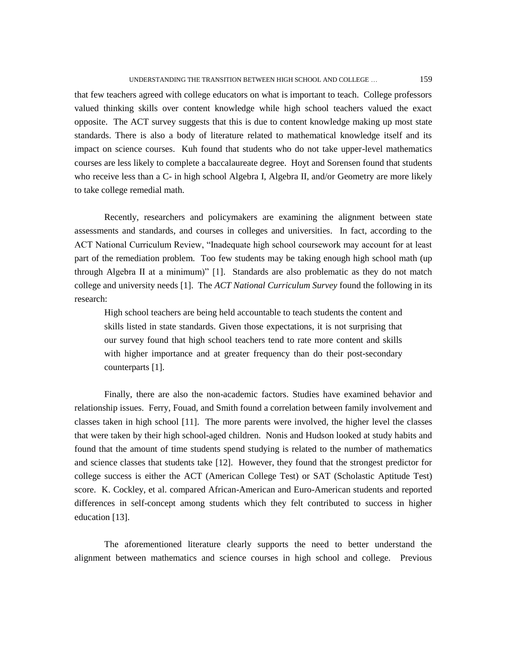that few teachers agreed with college educators on what is important to teach. College professors valued thinking skills over content knowledge while high school teachers valued the exact opposite. The ACT survey suggests that this is due to content knowledge making up most state standards. There is also a body of literature related to mathematical knowledge itself and its impact on science courses. Kuh found that students who do not take upper-level mathematics courses are less likely to complete a baccalaureate degree. Hoyt and Sorensen found that students who receive less than a C- in high school Algebra I, Algebra II, and/or Geometry are more likely to take college remedial math.

Recently, researchers and policymakers are examining the alignment between state assessments and standards, and courses in colleges and universities. In fact, according to the ACT National Curriculum Review, "Inadequate high school coursework may account for at least part of the remediation problem. Too few students may be taking enough high school math (up through Algebra II at a minimum)" [1]. Standards are also problematic as they do not match college and university needs [1]. The *ACT National Curriculum Survey* found the following in its research:

High school teachers are being held accountable to teach students the content and skills listed in state standards. Given those expectations, it is not surprising that our survey found that high school teachers tend to rate more content and skills with higher importance and at greater frequency than do their post-secondary counterparts [1].

Finally, there are also the non-academic factors. Studies have examined behavior and relationship issues. Ferry, Fouad, and Smith found a correlation between family involvement and classes taken in high school [11]. The more parents were involved, the higher level the classes that were taken by their high school-aged children. Nonis and Hudson looked at study habits and found that the amount of time students spend studying is related to the number of mathematics and science classes that students take [12]. However, they found that the strongest predictor for college success is either the ACT (American College Test) or SAT (Scholastic Aptitude Test) score. K. Cockley, et al. compared African-American and Euro-American students and reported differences in self-concept among students which they felt contributed to success in higher education [13].

The aforementioned literature clearly supports the need to better understand the alignment between mathematics and science courses in high school and college. Previous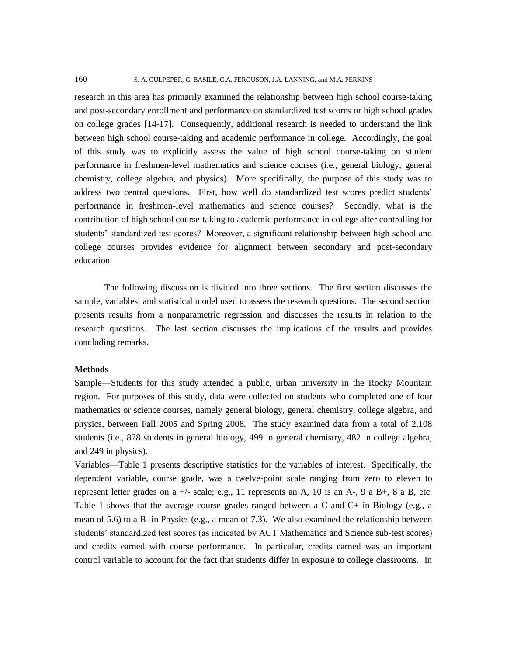research in this area has primarily examined the relationship between high school course-taking and post-secondary enrollment and performance on standardized test scores or high school grades on college grades [14-17]. Consequently, additional research is needed to understand the link between high school course-taking and academic performance in college. Accordingly, the goal of this study was to explicitly assess the value of high school course-taking on student performance in freshmen-level mathematics and science courses (i.e., general biology, general chemistry, college algebra, and physics). More specifically, the purpose of this study was to address two central questions. First, how well do standardized test scores predict students' performance in freshmen-level mathematics and science courses? Secondly, what is the contribution of high school course-taking to academic performance in college after controlling for students' standardized test scores? Moreover, a significant relationship between high school and college courses provides evidence for alignment between secondary and post-secondary education.

The following discussion is divided into three sections. The first section discusses the sample, variables, and statistical model used to assess the research questions. The second section presents results from a nonparametric regression and discusses the results in relation to the research questions. The last section discusses the implications of the results and provides concluding remarks.

#### **Methods**

Sample—Students for this study attended a public, urban university in the Rocky Mountain region. For purposes of this study, data were collected on students who completed one of four mathematics or science courses, namely general biology, general chemistry, college algebra, and physics, between Fall 2005 and Spring 2008. The study examined data from a total of 2,108 students (i.e., 878 students in general biology, 499 in general chemistry, 482 in college algebra, and 249 in physics).

Variables—Table 1 presents descriptive statistics for the variables of interest. Specifically, the dependent variable, course grade, was a twelve-point scale ranging from zero to eleven to represent letter grades on a +/- scale; e.g., 11 represents an A, 10 is an A-, 9 a B+, 8 a B, etc. Table 1 shows that the average course grades ranged between a C and C+ in Biology (e.g., a mean of 5.6) to a B- in Physics (e.g., a mean of 7.3). We also examined the relationship between students' standardized test scores (as indicated by ACT Mathematics and Science sub-test scores) and credits earned with course performance. In particular, credits earned was an important control variable to account for the fact that students differ in exposure to college classrooms. In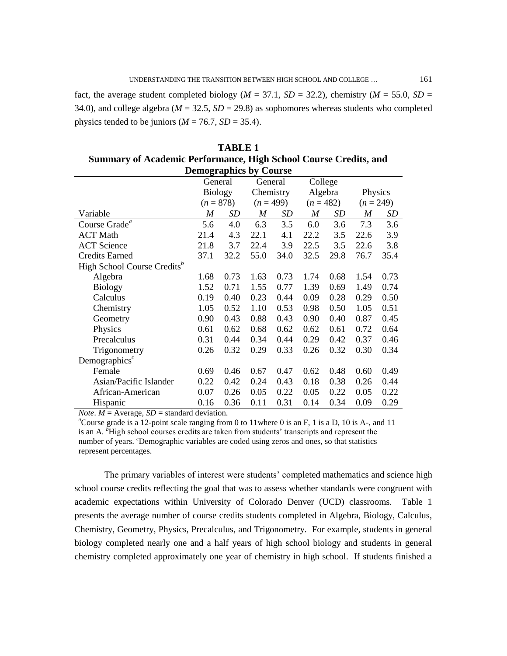fact, the average student completed biology ( $M = 37.1$ ,  $SD = 32.2$ ), chemistry ( $M = 55.0$ ,  $SD = 10^{-10}$ 34.0), and college algebra ( $M = 32.5$ ,  $SD = 29.8$ ) as sophomores whereas students who completed physics tended to be juniors ( $M = 76.7$ ,  $SD = 35.4$ ).

| <b>Summary of Academic Performance, High School Course Credits, and</b> |                  |      |                  |      |                  |      |                  |      |
|-------------------------------------------------------------------------|------------------|------|------------------|------|------------------|------|------------------|------|
| <b>Demographics by Course</b>                                           |                  |      |                  |      |                  |      |                  |      |
|                                                                         | General          |      | General          |      | College          |      |                  |      |
|                                                                         | <b>Biology</b>   |      | Chemistry        |      | Algebra          |      | Physics          |      |
|                                                                         | $(n = 878)$      |      | $(n = 499)$      |      | $(n = 482)$      |      | $(n = 249)$      |      |
| Variable                                                                | $\boldsymbol{M}$ | SD   | $\boldsymbol{M}$ | SD   | $\boldsymbol{M}$ | SD   | $\boldsymbol{M}$ | SD   |
| Course Grade <sup>a</sup>                                               | 5.6              | 4.0  | 6.3              | 3.5  | 6.0              | 3.6  | 7.3              | 3.6  |
| <b>ACT Math</b>                                                         | 21.4             | 4.3  | 22.1             | 4.1  | 22.2             | 3.5  | 22.6             | 3.9  |
| <b>ACT</b> Science                                                      | 21.8             | 3.7  | 22.4             | 3.9  | 22.5             | 3.5  | 22.6             | 3.8  |
| <b>Credits Earned</b>                                                   | 37.1             | 32.2 | 55.0             | 34.0 | 32.5             | 29.8 | 76.7             | 35.4 |
| High School Course Credits <sup>b</sup>                                 |                  |      |                  |      |                  |      |                  |      |
| Algebra                                                                 | 1.68             | 0.73 | 1.63             | 0.73 | 1.74             | 0.68 | 1.54             | 0.73 |
| <b>Biology</b>                                                          | 1.52             | 0.71 | 1.55             | 0.77 | 1.39             | 0.69 | 1.49             | 0.74 |
| Calculus                                                                | 0.19             | 0.40 | 0.23             | 0.44 | 0.09             | 0.28 | 0.29             | 0.50 |
| Chemistry                                                               | 1.05             | 0.52 | 1.10             | 0.53 | 0.98             | 0.50 | 1.05             | 0.51 |
| Geometry                                                                | 0.90             | 0.43 | 0.88             | 0.43 | 0.90             | 0.40 | 0.87             | 0.45 |
| Physics                                                                 | 0.61             | 0.62 | 0.68             | 0.62 | 0.62             | 0.61 | 0.72             | 0.64 |
| Precalculus                                                             | 0.31             | 0.44 | 0.34             | 0.44 | 0.29             | 0.42 | 0.37             | 0.46 |
| Trigonometry                                                            | 0.26             | 0.32 | 0.29             | 0.33 | 0.26             | 0.32 | 0.30             | 0.34 |
| Demographics <sup><math>c</math></sup>                                  |                  |      |                  |      |                  |      |                  |      |
| Female                                                                  | 0.69             | 0.46 | 0.67             | 0.47 | 0.62             | 0.48 | 0.60             | 0.49 |
| Asian/Pacific Islander                                                  | 0.22             | 0.42 | 0.24             | 0.43 | 0.18             | 0.38 | 0.26             | 0.44 |
| African-American                                                        | 0.07             | 0.26 | 0.05             | 0.22 | 0.05             | 0.22 | 0.05             | 0.22 |
| Hispanic                                                                | 0.16             | 0.36 | 0.11             | 0.31 | 0.14             | 0.34 | 0.09             | 0.29 |

**TABLE 1 Summary of Academic Performance, High School Course Credits, and** 

*Note*.  $M =$  Average,  $SD =$  standard deviation.

<sup>a</sup>Course grade is a 12-point scale ranging from 0 to 11where 0 is an F, 1 is a D, 10 is A-, and 11 is an A. <sup>*b*</sup>High school courses credits are taken from students' transcripts and represent the number of years. *<sup>c</sup>*Demographic variables are coded using zeros and ones, so that statistics represent percentages.

The primary variables of interest were students' completed mathematics and science high school course credits reflecting the goal that was to assess whether standards were congruent with academic expectations within University of Colorado Denver (UCD) classrooms. Table 1 presents the average number of course credits students completed in Algebra, Biology, Calculus, Chemistry, Geometry, Physics, Precalculus, and Trigonometry. For example, students in general biology completed nearly one and a half years of high school biology and students in general chemistry completed approximately one year of chemistry in high school. If students finished a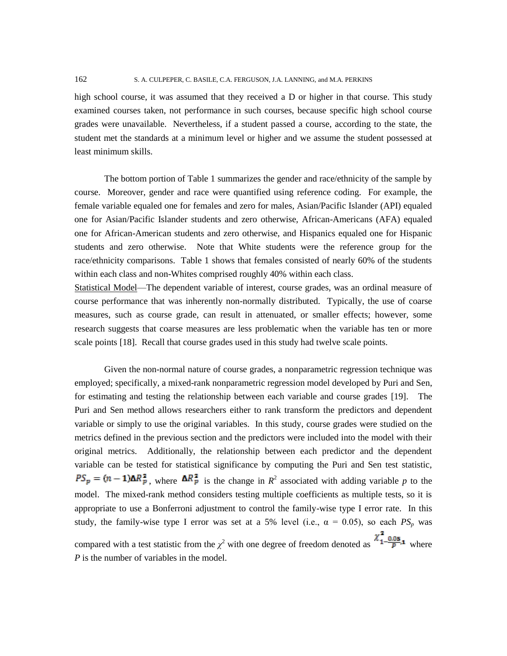162 S. A. CULPEPER, C. BASILE, C.A. FERGUSON, J.A. LANNING, and M.A. PERKINS

high school course, it was assumed that they received a D or higher in that course. This study examined courses taken, not performance in such courses, because specific high school course grades were unavailable. Nevertheless, if a student passed a course, according to the state, the student met the standards at a minimum level or higher and we assume the student possessed at least minimum skills.

The bottom portion of Table 1 summarizes the gender and race/ethnicity of the sample by course. Moreover, gender and race were quantified using reference coding. For example, the female variable equaled one for females and zero for males, Asian/Pacific Islander (API) equaled one for Asian/Pacific Islander students and zero otherwise, African-Americans (AFA) equaled one for African-American students and zero otherwise, and Hispanics equaled one for Hispanic students and zero otherwise. Note that White students were the reference group for the race/ethnicity comparisons. Table 1 shows that females consisted of nearly 60% of the students within each class and non-Whites comprised roughly 40% within each class.

Statistical Model—The dependent variable of interest, course grades, was an ordinal measure of course performance that was inherently non-normally distributed. Typically, the use of coarse measures, such as course grade, can result in attenuated, or smaller effects; however, some research suggests that coarse measures are less problematic when the variable has ten or more scale points [18]. Recall that course grades used in this study had twelve scale points.

Given the non-normal nature of course grades, a nonparametric regression technique was employed; specifically, a mixed-rank nonparametric regression model developed by Puri and Sen, for estimating and testing the relationship between each variable and course grades [19]. The Puri and Sen method allows researchers either to rank transform the predictors and dependent variable or simply to use the original variables. In this study, course grades were studied on the metrics defined in the previous section and the predictors were included into the model with their original metrics. Additionally, the relationship between each predictor and the dependent variable can be tested for statistical significance by computing the Puri and Sen test statistic, , where  $\Delta R_p^2$  is the change in  $R^2$  associated with adding variable *p* to the model. The mixed-rank method considers testing multiple coefficients as multiple tests, so it is appropriate to use a Bonferroni adjustment to control the family-wise type I error rate. In this study, the family-wise type I error was set at a 5% level (i.e.,  $\alpha = 0.05$ ), so each  $PS_p$  was compared with a test statistic from the  $\chi^2$  with one degree of freedom denoted as  $\Lambda$ <sup>1- $\frac{\ln 3}{\sqrt{P}}$ ,1 where</sup>

*P* is the number of variables in the model.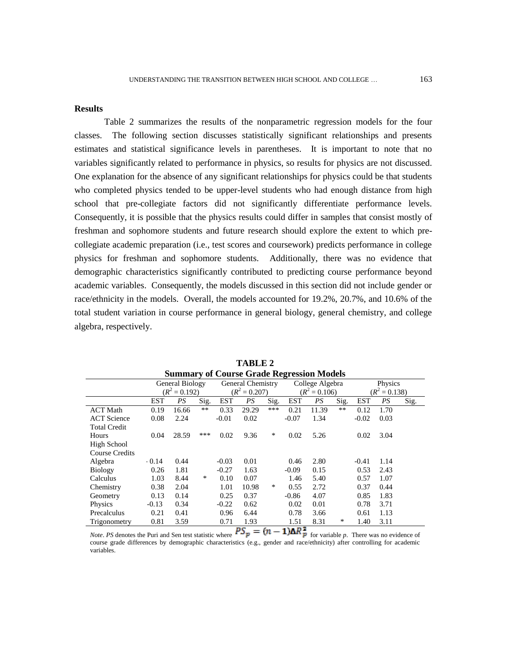### **Results**

 Table 2 summarizes the results of the nonparametric regression models for the four classes. The following section discusses statistically significant relationships and presents estimates and statistical significance levels in parentheses. It is important to note that no variables significantly related to performance in physics, so results for physics are not discussed. One explanation for the absence of any significant relationships for physics could be that students who completed physics tended to be upper-level students who had enough distance from high school that pre-collegiate factors did not significantly differentiate performance levels. Consequently, it is possible that the physics results could differ in samples that consist mostly of freshman and sophomore students and future research should explore the extent to which precollegiate academic preparation (i.e., test scores and coursework) predicts performance in college physics for freshman and sophomore students. Additionally, there was no evidence that demographic characteristics significantly contributed to predicting course performance beyond academic variables. Consequently, the models discussed in this section did not include gender or race/ethnicity in the models. Overall, the models accounted for 19.2%, 20.7%, and 10.6% of the total student variation in course performance in general biology, general chemistry, and college algebra, respectively.

| Summary or Course Graue Regression Models |                 |                 |       |                   |        |      |                  |       |       |                 |      |      |
|-------------------------------------------|-----------------|-----------------|-------|-------------------|--------|------|------------------|-------|-------|-----------------|------|------|
|                                           | General Biology |                 |       | General Chemistry |        |      | College Algebra  |       |       | Physics         |      |      |
|                                           |                 | $(R^2 = 0.192)$ |       | $(R^2 = 0.207)$   |        |      | $(R^2 = 0.106)$  |       |       | $(R^2 = 0.138)$ |      |      |
|                                           | <b>EST</b>      | PS              | Sig.  | <b>EST</b>        | PS     | Sig. | <b>EST</b>       | PS    | Sig.  | <b>EST</b>      | PS   | Sig. |
| <b>ACT Math</b>                           | 0.19            | 16.66           | $***$ | 0.33              | 29.29  | ***  | 0.21             | 11.39 | $***$ | 0.12            | 1.70 |      |
| <b>ACT</b> Science                        | 0.08            | 2.24            |       | $-0.01$           | 0.02   |      | $-0.07$          | 1.34  |       | $-0.02$         | 0.03 |      |
| <b>Total Credit</b>                       |                 |                 |       |                   |        |      |                  |       |       |                 |      |      |
| Hours                                     | 0.04            | 28.59           | ***   | 0.02              | 9.36   | *    | 0.02             | 5.26  |       | 0.02            | 3.04 |      |
| <b>High School</b>                        |                 |                 |       |                   |        |      |                  |       |       |                 |      |      |
| <b>Course Credits</b>                     |                 |                 |       |                   |        |      |                  |       |       |                 |      |      |
| Algebra                                   | $-0.14$         | 0.44            |       | $-0.03$           | 0.01   |      | 0.46             | 2.80  |       | $-0.41$         | 1.14 |      |
| <b>Biology</b>                            | 0.26            | 1.81            |       | $-0.27$           | 1.63   |      | $-0.09$          | 0.15  |       | 0.53            | 2.43 |      |
| Calculus                                  | 1.03            | 8.44            | ∗     | 0.10              | 0.07   |      | 1.46             | 5.40  |       | 0.57            | 1.07 |      |
| Chemistry                                 | 0.38            | 2.04            |       | 1.01              | 10.98  | *    | 0.55             | 2.72  |       | 0.37            | 0.44 |      |
| Geometry                                  | 0.13            | 0.14            |       | 0.25              | 0.37   |      | $-0.86$          | 4.07  |       | 0.85            | 1.83 |      |
| Physics                                   | $-0.13$         | 0.34            |       | $-0.22$           | 0.62   |      | 0.02             | 0.01  |       | 0.78            | 3.71 |      |
| Precalculus                               | 0.21            | 0.41            |       | 0.96              | 6.44   |      | 0.78             | 3.66  |       | 0.61            | 1.13 |      |
| Trigonometry                              | 0.81            | 3.59            |       | 0.71              | 1.93   |      | 1.51             | 8.31  | *     | 1.40            | 3.11 |      |
|                                           |                 |                 |       |                   | $\sim$ |      | . <del>. .</del> |       |       |                 |      |      |

**TABLE 2 Summary of Course Grade Regression Models**

*Note. PS* denotes the Puri and Sen test statistic where  $PS_p = (n - 1)\Delta R_p^2$  for variable *p*. There was no evidence of course grade differences by demographic characteristics (e.g., gender and race/ethnicity) after controlling for academic variables.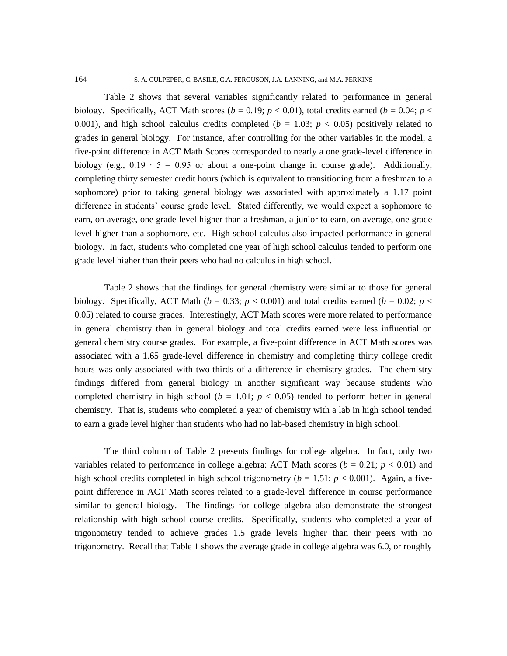Table 2 shows that several variables significantly related to performance in general biology. Specifically, ACT Math scores ( $b = 0.19$ ;  $p < 0.01$ ), total credits earned ( $b = 0.04$ ;  $p <$ 0.001), and high school calculus credits completed ( $b = 1.03$ ;  $p < 0.05$ ) positively related to grades in general biology. For instance, after controlling for the other variables in the model, a five-point difference in ACT Math Scores corresponded to nearly a one grade-level difference in biology (e.g.,  $0.19 \cdot 5 = 0.95$  or about a one-point change in course grade). Additionally, completing thirty semester credit hours (which is equivalent to transitioning from a freshman to a sophomore) prior to taking general biology was associated with approximately a 1.17 point difference in students' course grade level. Stated differently, we would expect a sophomore to earn, on average, one grade level higher than a freshman, a junior to earn, on average, one grade level higher than a sophomore, etc. High school calculus also impacted performance in general biology. In fact, students who completed one year of high school calculus tended to perform one grade level higher than their peers who had no calculus in high school.

Table 2 shows that the findings for general chemistry were similar to those for general biology. Specifically, ACT Math ( $b = 0.33$ ;  $p < 0.001$ ) and total credits earned ( $b = 0.02$ ;  $p <$ 0.05) related to course grades. Interestingly, ACT Math scores were more related to performance in general chemistry than in general biology and total credits earned were less influential on general chemistry course grades. For example, a five-point difference in ACT Math scores was associated with a 1.65 grade-level difference in chemistry and completing thirty college credit hours was only associated with two-thirds of a difference in chemistry grades. The chemistry findings differed from general biology in another significant way because students who completed chemistry in high school ( $b = 1.01$ ;  $p < 0.05$ ) tended to perform better in general chemistry. That is, students who completed a year of chemistry with a lab in high school tended to earn a grade level higher than students who had no lab-based chemistry in high school.

The third column of Table 2 presents findings for college algebra. In fact, only two variables related to performance in college algebra: ACT Math scores ( $b = 0.21$ ;  $p < 0.01$ ) and high school credits completed in high school trigonometry ( $b = 1.51$ ;  $p < 0.001$ ). Again, a fivepoint difference in ACT Math scores related to a grade-level difference in course performance similar to general biology. The findings for college algebra also demonstrate the strongest relationship with high school course credits. Specifically, students who completed a year of trigonometry tended to achieve grades 1.5 grade levels higher than their peers with no trigonometry. Recall that Table 1 shows the average grade in college algebra was 6.0, or roughly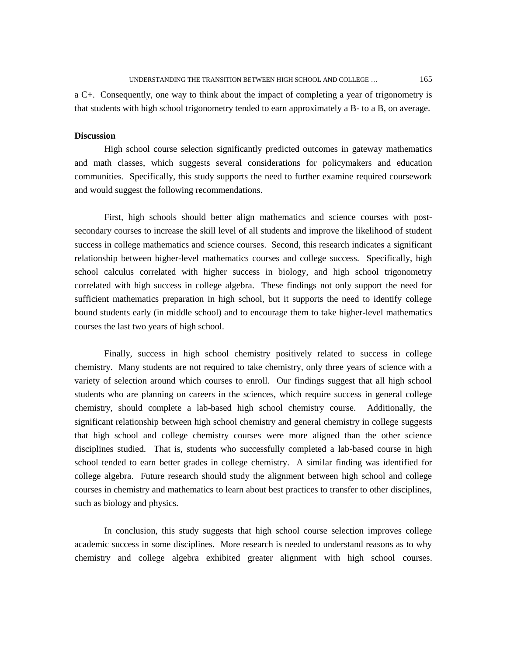a C+. Consequently, one way to think about the impact of completing a year of trigonometry is that students with high school trigonometry tended to earn approximately a B- to a B, on average.

#### **Discussion**

 High school course selection significantly predicted outcomes in gateway mathematics and math classes, which suggests several considerations for policymakers and education communities. Specifically, this study supports the need to further examine required coursework and would suggest the following recommendations.

First, high schools should better align mathematics and science courses with postsecondary courses to increase the skill level of all students and improve the likelihood of student success in college mathematics and science courses. Second, this research indicates a significant relationship between higher-level mathematics courses and college success. Specifically, high school calculus correlated with higher success in biology, and high school trigonometry correlated with high success in college algebra. These findings not only support the need for sufficient mathematics preparation in high school, but it supports the need to identify college bound students early (in middle school) and to encourage them to take higher-level mathematics courses the last two years of high school.

Finally, success in high school chemistry positively related to success in college chemistry. Many students are not required to take chemistry, only three years of science with a variety of selection around which courses to enroll. Our findings suggest that all high school students who are planning on careers in the sciences, which require success in general college chemistry, should complete a lab-based high school chemistry course. Additionally, the significant relationship between high school chemistry and general chemistry in college suggests that high school and college chemistry courses were more aligned than the other science disciplines studied. That is, students who successfully completed a lab-based course in high school tended to earn better grades in college chemistry. A similar finding was identified for college algebra. Future research should study the alignment between high school and college courses in chemistry and mathematics to learn about best practices to transfer to other disciplines, such as biology and physics.

In conclusion, this study suggests that high school course selection improves college academic success in some disciplines. More research is needed to understand reasons as to why chemistry and college algebra exhibited greater alignment with high school courses.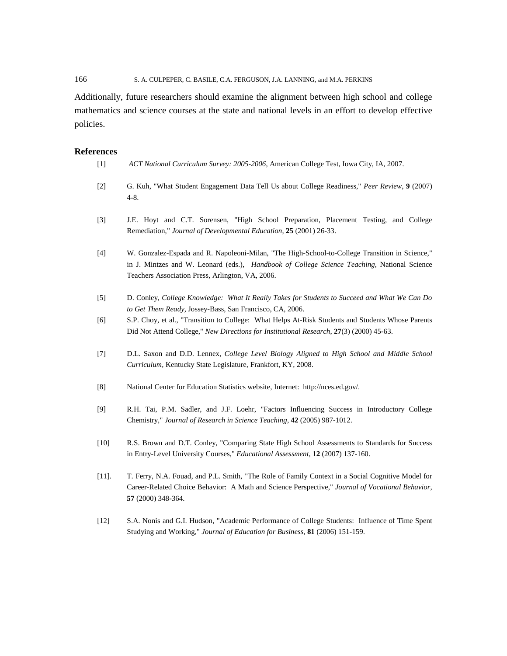166 S. A. CULPEPER, C. BASILE, C.A. FERGUSON, J.A. LANNING, and M.A. PERKINS

Additionally, future researchers should examine the alignment between high school and college mathematics and science courses at the state and national levels in an effort to develop effective policies.

## **References**

| $[1]$    | ACT National Curriculum Survey: 2005-2006, American College Test, Iowa City, IA, 2007.                                                                                                                                                            |
|----------|---------------------------------------------------------------------------------------------------------------------------------------------------------------------------------------------------------------------------------------------------|
| $[2]$    | G. Kuh, "What Student Engagement Data Tell Us about College Readiness," Peer Review, 9 (2007)<br>$4 - 8.$                                                                                                                                         |
| $[3]$    | J.E. Hoyt and C.T. Sorensen, "High School Preparation, Placement Testing, and College<br>Remediation," Journal of Developmental Education, 25 (2001) 26-33.                                                                                       |
| $[4]$    | W. Gonzalez-Espada and R. Napoleoni-Milan, "The High-School-to-College Transition in Science,"<br>in J. Mintzes and W. Leonard (eds.), Handbook of College Science Teaching, National Science<br>Teachers Association Press, Arlington, VA, 2006. |
| $[5]$    | D. Conley, College Knowledge: What It Really Takes for Students to Succeed and What We Can Do<br>to Get Them Ready, Jossey-Bass, San Francisco, CA, 2006.                                                                                         |
| [6]      | S.P. Choy, et al., "Transition to College: What Helps At-Risk Students and Students Whose Parents<br>Did Not Attend College," New Directions for Institutional Research, 27(3) (2000) 45-63.                                                      |
| $[7]$    | D.L. Saxon and D.D. Lennex, College Level Biology Aligned to High School and Middle School<br>Curriculum, Kentucky State Legislature, Frankfort, KY, 2008.                                                                                        |
| [8]      | National Center for Education Statistics website, Internet: http://nces.ed.gov/.                                                                                                                                                                  |
| $[9]$    | R.H. Tai, P.M. Sadler, and J.F. Loehr, "Factors Influencing Success in Introductory College<br>Chemistry," Journal of Research in Science Teaching, 42 (2005) 987-1012.                                                                           |
| $[10]$   | R.S. Brown and D.T. Conley, "Comparing State High School Assessments to Standards for Success<br>in Entry-Level University Courses," Educational Assessment, 12 (2007) 137-160.                                                                   |
| $[11]$ . | T. Ferry, N.A. Fouad, and P.L. Smith, "The Role of Family Context in a Social Cognitive Model for<br>Career-Related Choice Behavior: A Math and Science Perspective," Journal of Vocational Behavior,<br>57 (2000) 348-364.                       |
| $[12]$   | S.A. Nonis and G.I. Hudson, "Academic Performance of College Students: Influence of Time Spent<br>Studying and Working," Journal of Education for Business, 81 (2006) 151-159.                                                                    |
|          |                                                                                                                                                                                                                                                   |